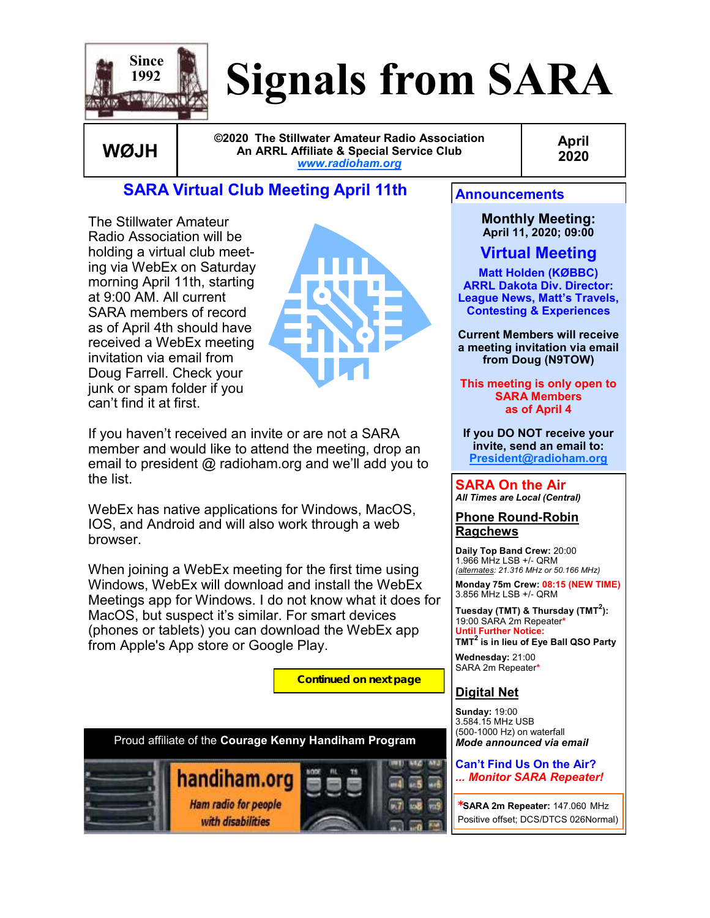

# **Signals from SARA**

**WØJH**

**©2020 The Stillwater Amateur Radio Association An ARRL Affiliate & Special Service Club** *[www.radioham.org](http://www.radioham.org/)*

**April 2020**

The Stillwater Amateur Radio Association will be holding a virtual club meeting via WebEx on Saturday morning April 11th, starting at 9:00 AM. All current SARA members of record as of April 4th should have received a WebEx meeting invitation via email from Doug Farrell. Check your junk or spam folder if you can't find it at first.



If you haven't received an invite or are not a SARA member and would like to attend the meeting, drop an email to president @ radioham.org and we'll add you to the list.

**SARA Virtual Club Meeting April 11th**

WebEx has native applications for Windows, MacOS, IOS, and Android and will also work through a web browser.

When joining a WebEx meeting for the first time using Windows, WebEx will download and install the WebEx Meetings app for Windows. I do not know what it does for MacOS, but suspect it's similar. For smart devices (phones or tablets) you can download the WebEx app from Apple's App store or Google Play.

**Continued on next page**



**Monthly Meeting: April 11, 2020; 09:00**

**Virtual Meeting**

**Matt Holden (KØBBC) ARRL Dakota Div. Director: League News, Matt's Travels, Contesting & Experiences**

**Current Members will receive a meeting invitation via email from Doug (N9TOW)** 

**This meeting is only open to SARA Members as of April 4**

**If you DO NOT receive your invite, send an email to: [President@radioham.org](mailto:president@radioham.org)**

**SARA On the Air** *All Times are Local (Central)*

**Phone Round-Robin Ragchews**

**Daily Top Band Crew:** 20:00 1.966 MHz LSB +/- QRM *(alternates: 21.316 MHz or 50.166 MHz)*

**Monday 75m Crew: 08:15 (NEW TIME)** 3.856 MHz LSB +/- QRM

**Tuesday (TMT) & Thursday (TMT<sup>2</sup> ):**  19:00 SARA 2m Repeater**\* Until Further Notice: TMT<sup>2</sup> is in lieu of Eye Ball QSO Party**

**Wednesday:** 21:00 SARA 2m Repeater**\***

### **Digital Net**

**Sunday:** 19:00 3.584.15 MHz USB (500-1000 Hz) on waterfall *Mode announced via email*

#### **Can't Find Us On the Air?**  *... Monitor SARA Repeater!*

*\****SARA 2m Repeater:** 147.060 MHz Positive offset; DCS/DTCS 026Normal)

Proud affiliate of the **[Courage Kenny Handiham Program](http://www.handiham.org/drupal2/)**

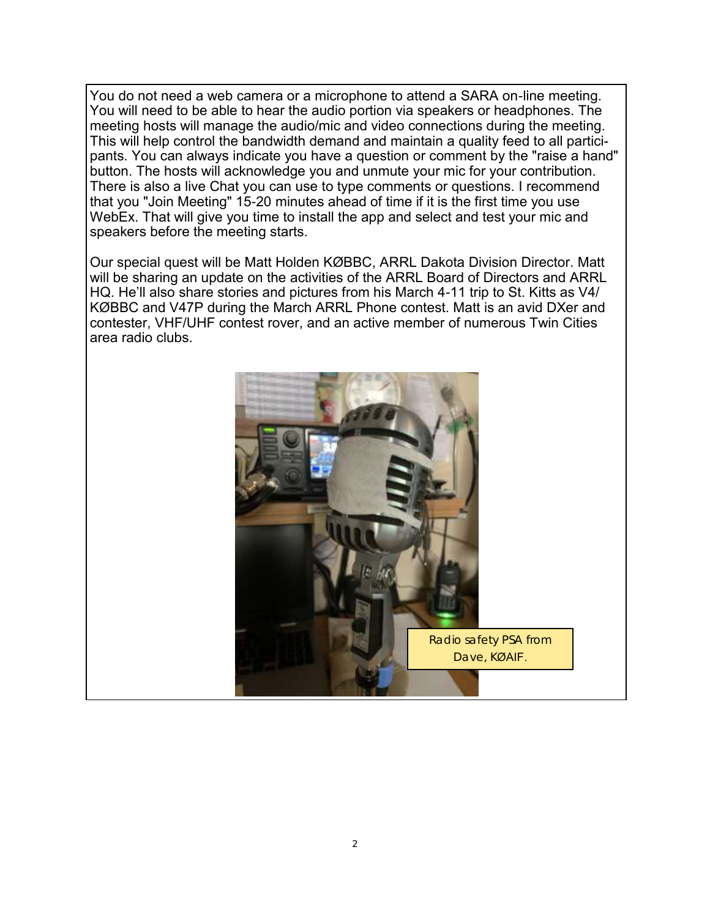You do not need a web camera or a microphone to attend a SARA on-line meeting. You will need to be able to hear the audio portion via speakers or headphones. The meeting hosts will manage the audio/mic and video connections during the meeting. This will help control the bandwidth demand and maintain a quality feed to all participants. You can always indicate you have a question or comment by the "raise a hand" button. The hosts will acknowledge you and unmute your mic for your contribution. There is also a live Chat you can use to type comments or questions. I recommend that you "Join Meeting" 15-20 minutes ahead of time if it is the first time you use WebEx. That will give you time to install the app and select and test your mic and speakers before the meeting starts.

Our special quest will be Matt Holden KØBBC, ARRL Dakota Division Director. Matt will be sharing an update on the activities of the ARRL Board of Directors and ARRL HQ. He'll also share stories and pictures from his March 4-11 trip to St. Kitts as V4/ KØBBC and V47P during the March ARRL Phone contest. Matt is an avid DXer and contester, VHF/UHF contest rover, and an active member of numerous Twin Cities area radio clubs.

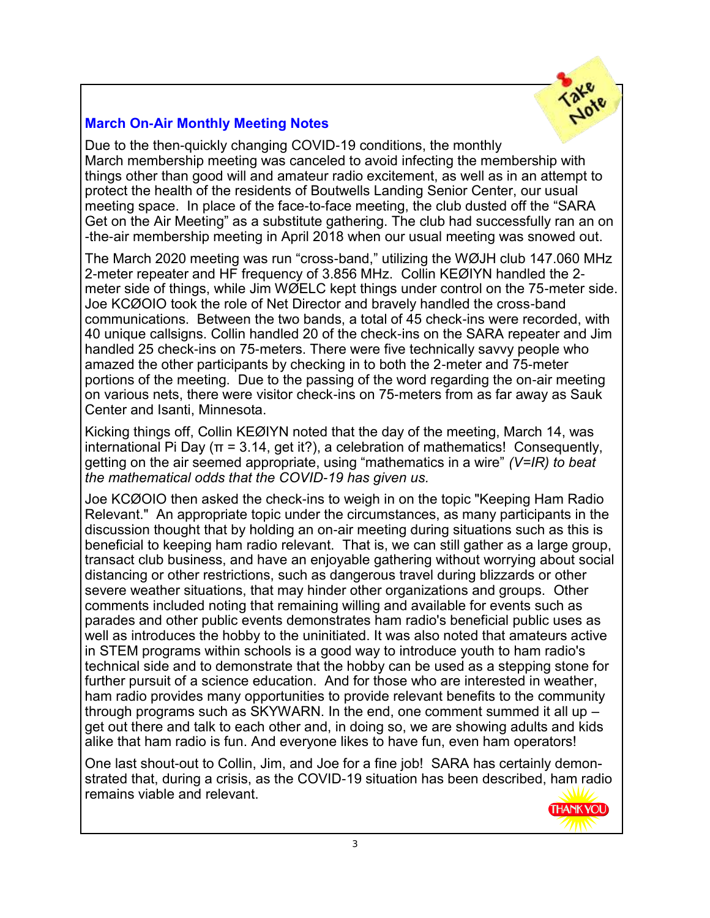

### **March On-Air Monthly Meeting Notes**

Due to the then-quickly changing COVID-19 conditions, the monthly March membership meeting was canceled to avoid infecting the membership with things other than good will and amateur radio excitement, as well as in an attempt to protect the health of the residents of Boutwells Landing Senior Center, our usual meeting space. In place of the face-to-face meeting, the club dusted off the "SARA Get on the Air Meeting" as a substitute gathering. The club had successfully ran an on -the-air membership meeting in April 2018 when our usual meeting was snowed out.

The March 2020 meeting was run "cross-band," utilizing the WØJH club 147.060 MHz 2-meter repeater and HF frequency of 3.856 MHz. Collin KEØIYN handled the 2 meter side of things, while Jim WØELC kept things under control on the 75-meter side. Joe KCØOIO took the role of Net Director and bravely handled the cross-band communications. Between the two bands, a total of 45 check-ins were recorded, with 40 unique callsigns. Collin handled 20 of the check-ins on the SARA repeater and Jim handled 25 check-ins on 75-meters. There were five technically savvy people who amazed the other participants by checking in to both the 2-meter and 75-meter portions of the meeting. Due to the passing of the word regarding the on-air meeting on various nets, there were visitor check-ins on 75-meters from as far away as Sauk Center and Isanti, Minnesota.

Kicking things off, Collin KEØIYN noted that the day of the meeting, March 14, was international Pi Day ( $\pi$  = 3.14, get it?), a celebration of mathematics! Consequently, getting on the air seemed appropriate, using "mathematics in a wire" *(V=IR) to beat the mathematical odds that the COVID-19 has given us.* 

Joe KCØOIO then asked the check-ins to weigh in on the topic "Keeping Ham Radio Relevant." An appropriate topic under the circumstances, as many participants in the discussion thought that by holding an on-air meeting during situations such as this is beneficial to keeping ham radio relevant. That is, we can still gather as a large group, transact club business, and have an enjoyable gathering without worrying about social distancing or other restrictions, such as dangerous travel during blizzards or other severe weather situations, that may hinder other organizations and groups. Other comments included noting that remaining willing and available for events such as parades and other public events demonstrates ham radio's beneficial public uses as well as introduces the hobby to the uninitiated. It was also noted that amateurs active in STEM programs within schools is a good way to introduce youth to ham radio's technical side and to demonstrate that the hobby can be used as a stepping stone for further pursuit of a science education. And for those who are interested in weather, ham radio provides many opportunities to provide relevant benefits to the community through programs such as SKYWARN. In the end, one comment summed it all up – get out there and talk to each other and, in doing so, we are showing adults and kids alike that ham radio is fun. And everyone likes to have fun, even ham operators!

One last shout-out to Collin, Jim, and Joe for a fine job! SARA has certainly demonstrated that, during a crisis, as the COVID-19 situation has been described, ham radio remains viable and relevant. **THANK YOU**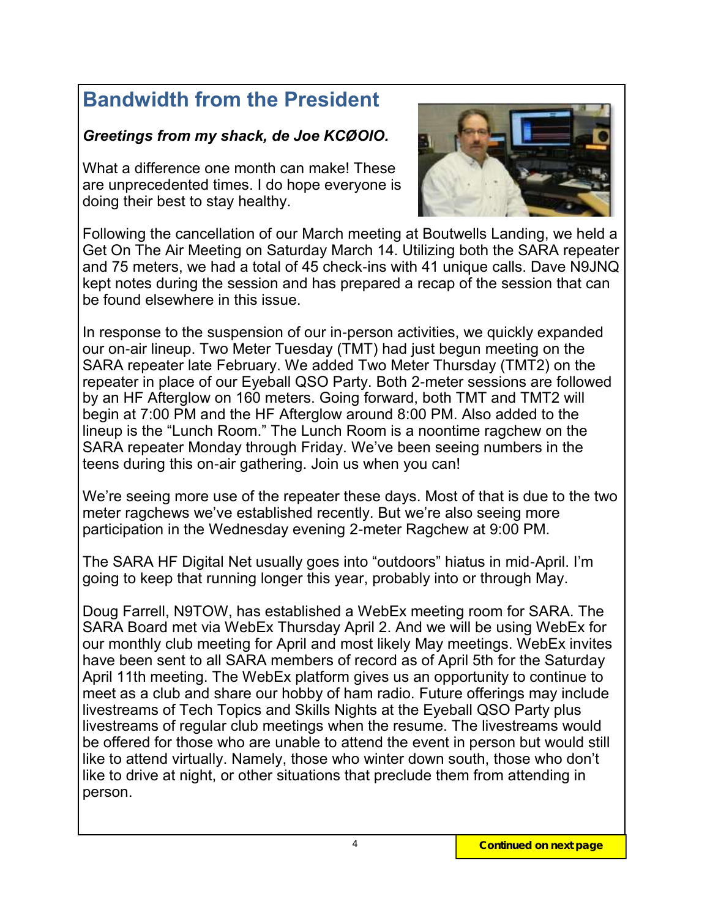# **Bandwidth from the President**

## *Greetings from my shack, de Joe KCØOIO.*

What a difference one month can make! These are unprecedented times. I do hope everyone is doing their best to stay healthy.



Following the cancellation of our March meeting at Boutwells Landing, we held a Get On The Air Meeting on Saturday March 14. Utilizing both the SARA repeater and 75 meters, we had a total of 45 check-ins with 41 unique calls. Dave N9JNQ kept notes during the session and has prepared a recap of the session that can be found elsewhere in this issue.

In response to the suspension of our in-person activities, we quickly expanded our on-air lineup. Two Meter Tuesday (TMT) had just begun meeting on the SARA repeater late February. We added Two Meter Thursday (TMT2) on the repeater in place of our Eyeball QSO Party. Both 2-meter sessions are followed by an HF Afterglow on 160 meters. Going forward, both TMT and TMT2 will begin at 7:00 PM and the HF Afterglow around 8:00 PM. Also added to the lineup is the "Lunch Room." The Lunch Room is a noontime ragchew on the SARA repeater Monday through Friday. We've been seeing numbers in the teens during this on-air gathering. Join us when you can!

We're seeing more use of the repeater these days. Most of that is due to the two meter ragchews we've established recently. But we're also seeing more participation in the Wednesday evening 2-meter Ragchew at 9:00 PM.

The SARA HF Digital Net usually goes into "outdoors" hiatus in mid-April. I'm going to keep that running longer this year, probably into or through May.

Doug Farrell, N9TOW, has established a WebEx meeting room for SARA. The SARA Board met via WebEx Thursday April 2. And we will be using WebEx for our monthly club meeting for April and most likely May meetings. WebEx invites have been sent to all SARA members of record as of April 5th for the Saturday April 11th meeting. The WebEx platform gives us an opportunity to continue to meet as a club and share our hobby of ham radio. Future offerings may include livestreams of Tech Topics and Skills Nights at the Eyeball QSO Party plus livestreams of regular club meetings when the resume. The livestreams would be offered for those who are unable to attend the event in person but would still like to attend virtually. Namely, those who winter down south, those who don't like to drive at night, or other situations that preclude them from attending in person.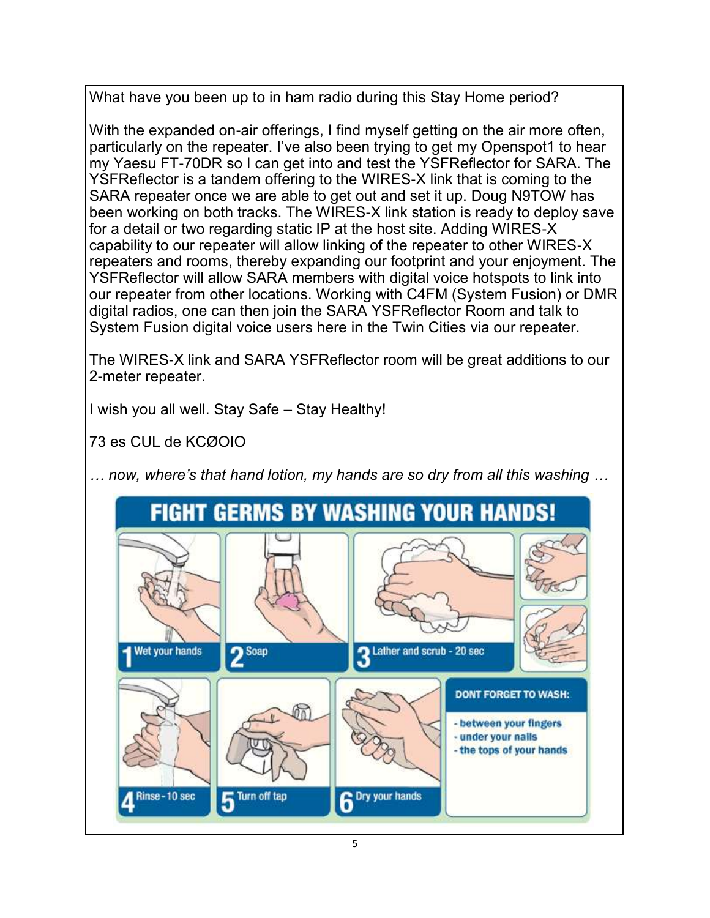What have you been up to in ham radio during this Stay Home period?

With the expanded on-air offerings, I find myself getting on the air more often, particularly on the repeater. I've also been trying to get my Openspot1 to hear my Yaesu FT-70DR so I can get into and test the YSFReflector for SARA. The YSFReflector is a tandem offering to the WIRES-X link that is coming to the SARA repeater once we are able to get out and set it up. Doug N9TOW has been working on both tracks. The WIRES-X link station is ready to deploy save for a detail or two regarding static IP at the host site. Adding WIRES-X capability to our repeater will allow linking of the repeater to other WIRES-X repeaters and rooms, thereby expanding our footprint and your enjoyment. The YSFReflector will allow SARA members with digital voice hotspots to link into our repeater from other locations. Working with C4FM (System Fusion) or DMR digital radios, one can then join the SARA YSFReflector Room and talk to System Fusion digital voice users here in the Twin Cities via our repeater.

The WIRES-X link and SARA YSFReflector room will be great additions to our 2-meter repeater.

I wish you all well. Stay Safe – Stay Healthy!

73 es CUL de KCØOIO

*… now, where's that hand lotion, my hands are so dry from all this washing …*

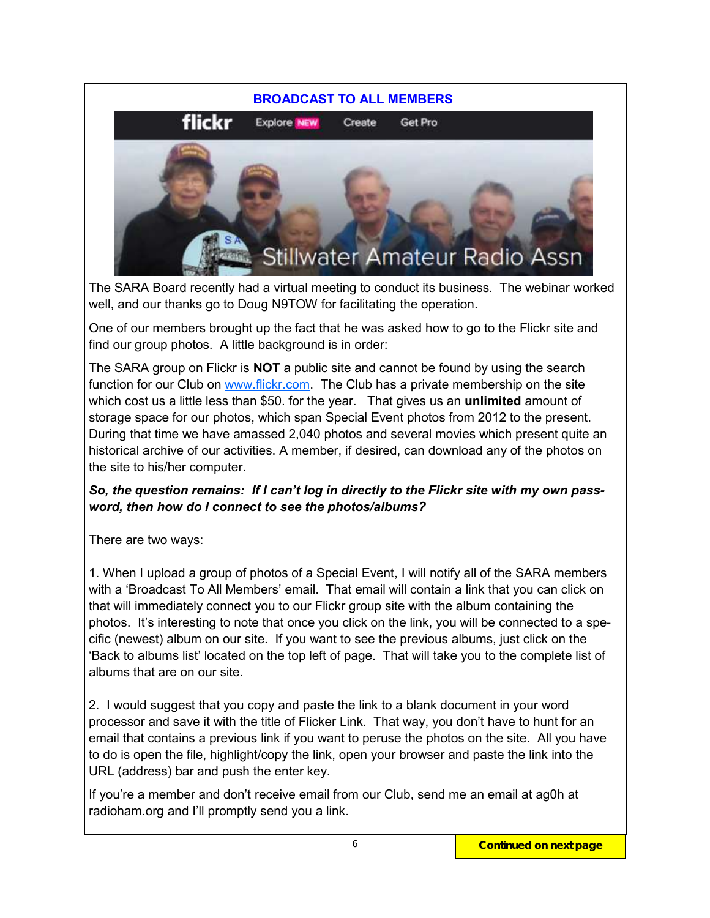

The SARA Board recently had a virtual meeting to conduct its business. The webinar worked well, and our thanks go to Doug N9TOW for facilitating the operation.

One of our members brought up the fact that he was asked how to go to the Flickr site and find our group photos. A little background is in order:

The SARA group on Flickr is **NOT** a public site and cannot be found by using the search function for our Club on [www.flickr.com.](http://www.flickr.com) The Club has a private membership on the site which cost us a little less than \$50. for the year. That gives us an **unlimited** amount of storage space for our photos, which span Special Event photos from 2012 to the present. During that time we have amassed 2,040 photos and several movies which present quite an historical archive of our activities. A member, if desired, can download any of the photos on the site to his/her computer.

#### *So, the question remains: If I can't log in directly to the Flickr site with my own password, then how do I connect to see the photos/albums?*

There are two ways:

1. When I upload a group of photos of a Special Event, I will notify all of the SARA members with a 'Broadcast To All Members' email. That email will contain a link that you can click on that will immediately connect you to our Flickr group site with the album containing the photos. It's interesting to note that once you click on the link, you will be connected to a specific (newest) album on our site. If you want to see the previous albums, just click on the 'Back to albums list' located on the top left of page. That will take you to the complete list of albums that are on our site.

2. I would suggest that you copy and paste the link to a blank document in your word processor and save it with the title of Flicker Link. That way, you don't have to hunt for an email that contains a previous link if you want to peruse the photos on the site. All you have to do is open the file, highlight/copy the link, open your browser and paste the link into the URL (address) bar and push the enter key.

If you're a member and don't receive email from our Club, send me an email at ag0h at radioham.org and I'll promptly send you a link.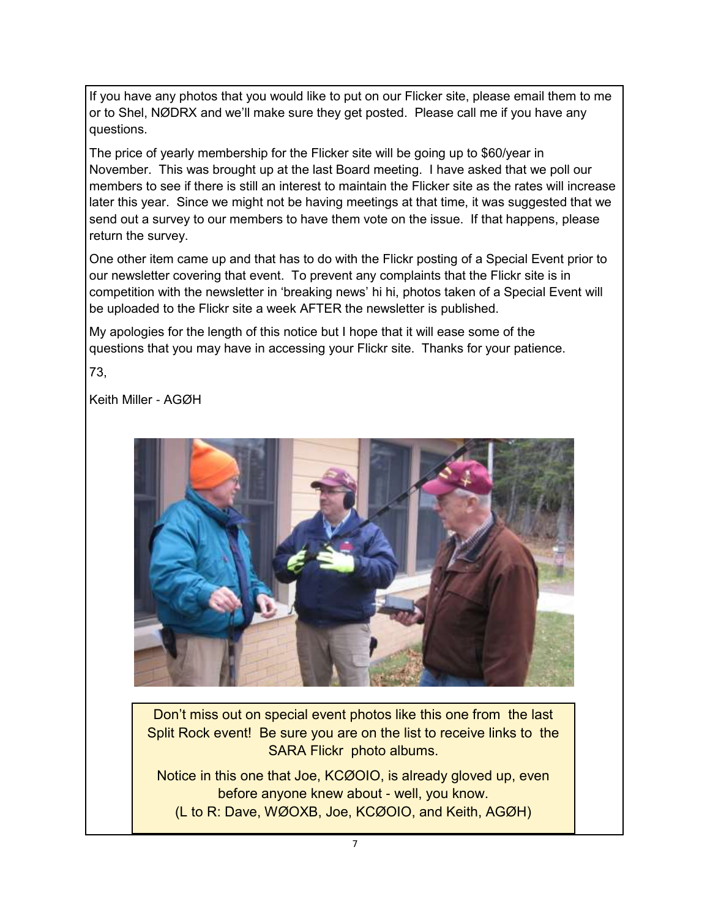If you have any photos that you would like to put on our Flicker site, please email them to me or to Shel, NØDRX and we'll make sure they get posted. Please call me if you have any questions.

The price of yearly membership for the Flicker site will be going up to \$60/year in November. This was brought up at the last Board meeting. I have asked that we poll our members to see if there is still an interest to maintain the Flicker site as the rates will increase later this year. Since we might not be having meetings at that time, it was suggested that we send out a survey to our members to have them vote on the issue. If that happens, please return the survey.

One other item came up and that has to do with the Flickr posting of a Special Event prior to our newsletter covering that event. To prevent any complaints that the Flickr site is in competition with the newsletter in 'breaking news' hi hi, photos taken of a Special Event will be uploaded to the Flickr site a week AFTER the newsletter is published.

My apologies for the length of this notice but I hope that it will ease some of the questions that you may have in accessing your Flickr site. Thanks for your patience.

73,

Keith Miller - AGØH



Don't miss out on special event photos like this one from the last Split Rock event! Be sure you are on the list to receive links to the SARA Flickr photo albums.

Notice in this one that Joe, KCØOIO, is already gloved up, even before anyone knew about - well, you know. (L to R: Dave, WØOXB, Joe, KCØOIO, and Keith, AGØH)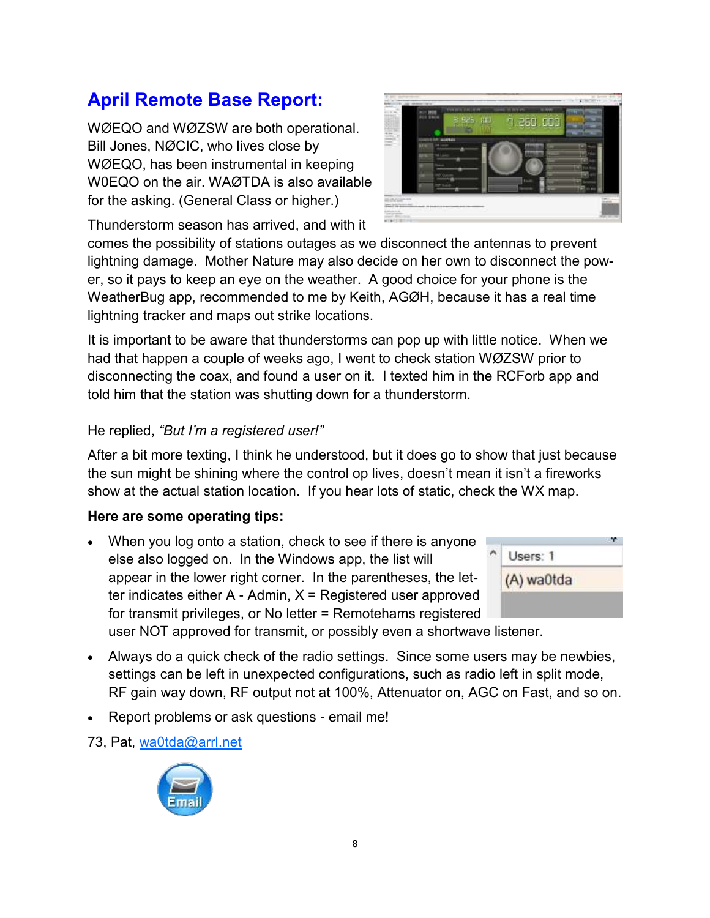# **April Remote Base Report:**

WØEQO and WØZSW are both operational. Bill Jones, NØCIC, who lives close by WØEQO, has been instrumental in keeping W0EQO on the air. WAØTDA is also available for the asking. (General Class or higher.)



Thunderstorm season has arrived, and with it

comes the possibility of stations outages as we disconnect the antennas to prevent lightning damage. Mother Nature may also decide on her own to disconnect the power, so it pays to keep an eye on the weather. A good choice for your phone is the WeatherBug app, recommended to me by Keith, AGØH, because it has a real time lightning tracker and maps out strike locations.

It is important to be aware that thunderstorms can pop up with little notice. When we had that happen a couple of weeks ago, I went to check station WØZSW prior to disconnecting the coax, and found a user on it. I texted him in the RCForb app and told him that the station was shutting down for a thunderstorm.

#### He replied, *"But I'm a registered user!"*

After a bit more texting, I think he understood, but it does go to show that just because the sun might be shining where the control op lives, doesn't mean it isn't a fireworks show at the actual station location. If you hear lots of static, check the WX map.

#### **Here are some operating tips:**

 When you log onto a station, check to see if there is anyone else also logged on. In the Windows app, the list will appear in the lower right corner. In the parentheses, the letter indicates either  $A -$  Admin,  $X =$  Registered user approved for transmit privileges, or No letter = Remotehams registered



user NOT approved for transmit, or possibly even a shortwave listener.

- Always do a quick check of the radio settings. Since some users may be newbies, settings can be left in unexpected configurations, such as radio left in split mode, RF gain way down, RF output not at 100%, Attenuator on, AGC on Fast, and so on.
- Report problems or ask questions email me!

73, Pat, [wa0tda@arrl.net](mailto:wa0tda@arrl.net)

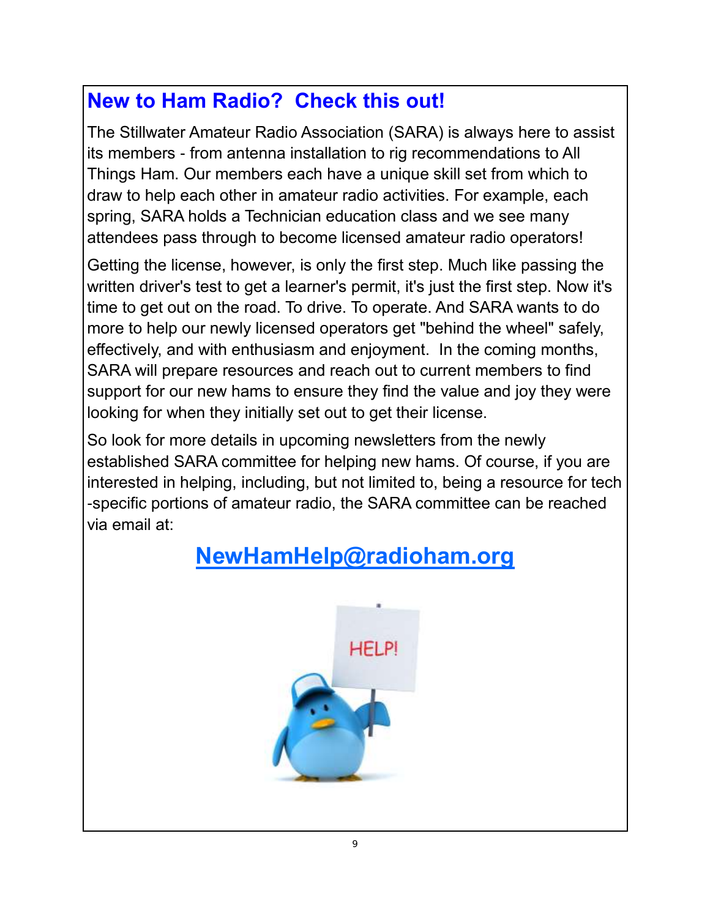# **New to Ham Radio? Check this out!**

The Stillwater Amateur Radio Association (SARA) is always here to assist its members - from antenna installation to rig recommendations to All Things Ham. Our members each have a unique skill set from which to draw to help each other in amateur radio activities. For example, each spring, SARA holds a Technician education class and we see many attendees pass through to become licensed amateur radio operators!

Getting the license, however, is only the first step. Much like passing the written driver's test to get a learner's permit, it's just the first step. Now it's time to get out on the road. To drive. To operate. And SARA wants to do more to help our newly licensed operators get "behind the wheel" safely, effectively, and with enthusiasm and enjoyment. In the coming months, SARA will prepare resources and reach out to current members to find support for our new hams to ensure they find the value and joy they were looking for when they initially set out to get their license.

So look for more details in upcoming newsletters from the newly established SARA committee for helping new hams. Of course, if you are interested in helping, including, but not limited to, being a resource for tech -specific portions of amateur radio, the SARA committee can be reached via email at:

# **[NewHamHelp@radioham.org](mailto:NewHamHelp@radioham.org?subject=New%20Ham%20Help)**

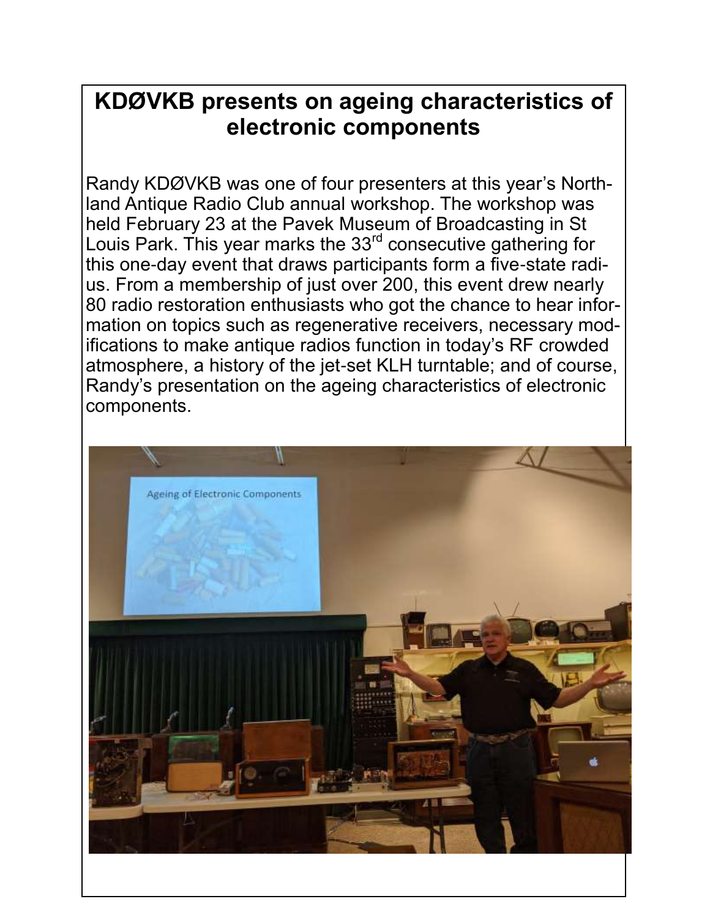# **KDØVKB presents on ageing characteristics of electronic components**

Randy KDØVKB was one of four presenters at this year's Northland Antique Radio Club annual workshop. The workshop was held February 23 at the Pavek Museum of Broadcasting in St Louis Park. This year marks the 33<sup>rd</sup> consecutive gathering for this one-day event that draws participants form a five-state radius. From a membership of just over 200, this event drew nearly 80 radio restoration enthusiasts who got the chance to hear information on topics such as regenerative receivers, necessary modifications to make antique radios function in today's RF crowded atmosphere, a history of the jet-set KLH turntable; and of course, Randy's presentation on the ageing characteristics of electronic components.

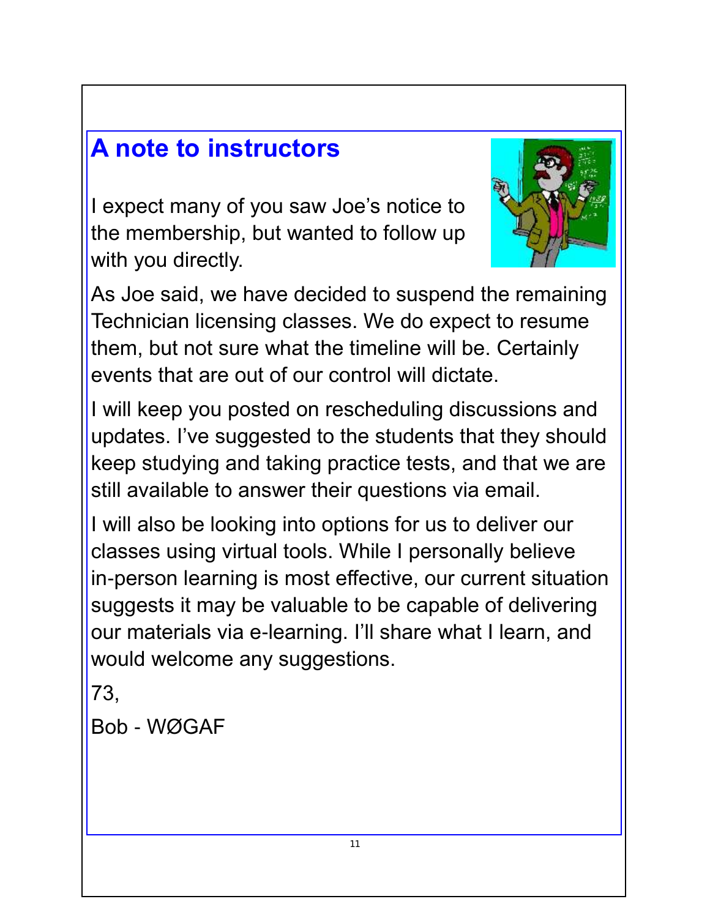# **A note to instructors**

I expect many of you saw Joe's notice to the membership, but wanted to follow up with you directly.



As Joe said, we have decided to suspend the remaining Technician licensing classes. We do expect to resume them, but not sure what the timeline will be. Certainly events that are out of our control will dictate.

I will keep you posted on rescheduling discussions and updates. I've suggested to the students that they should keep studying and taking practice tests, and that we are still available to answer their questions via email.

I will also be looking into options for us to deliver our classes using virtual tools. While I personally believe in-person learning is most effective, our current situation suggests it may be valuable to be capable of delivering our materials via e-learning. I'll share what I learn, and would welcome any suggestions.

73,

Bob - WØGAF